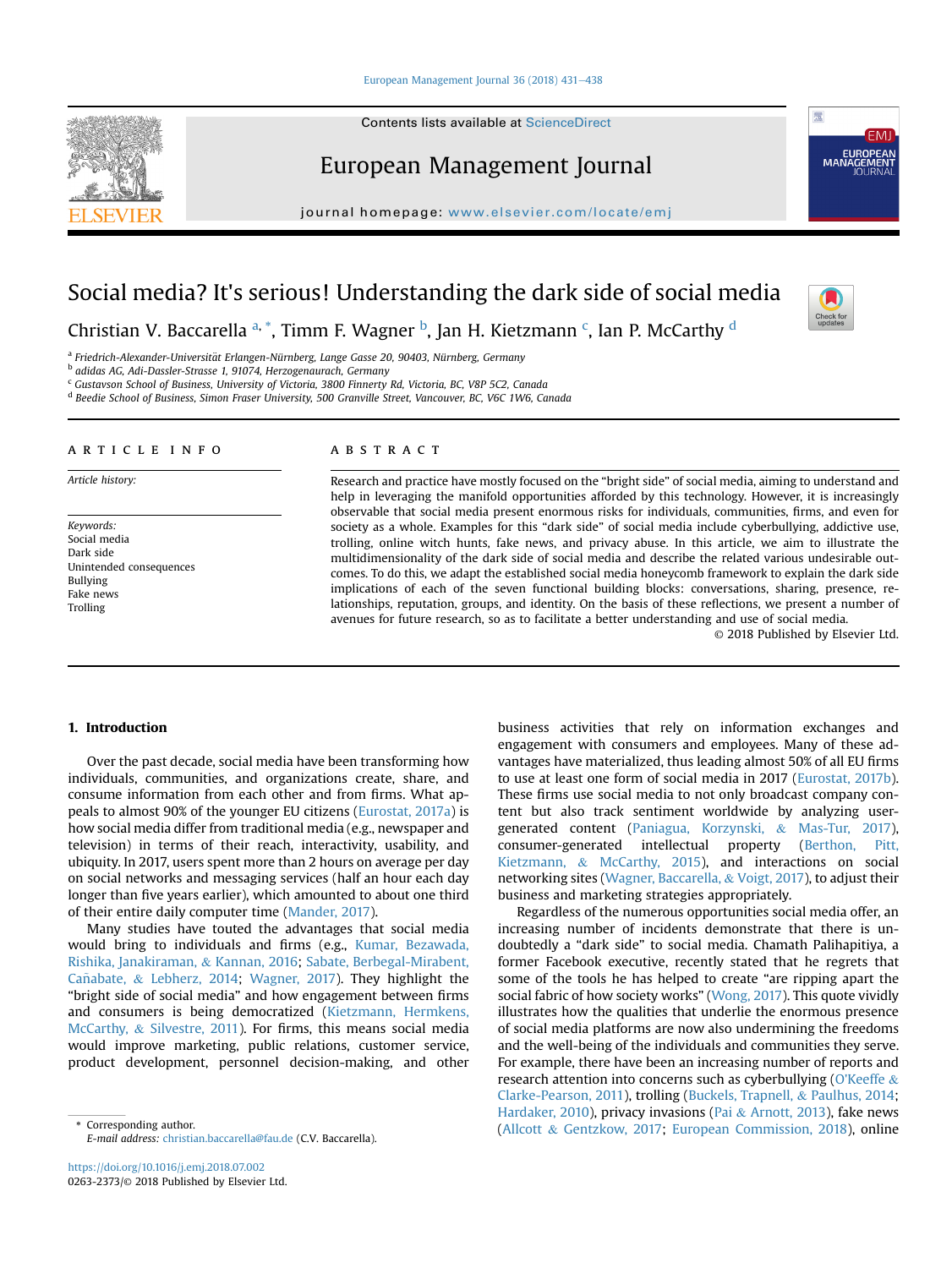#### [European Management Journal 36 \(2018\) 431](https://doi.org/10.1016/j.emj.2018.07.002)-[438](https://doi.org/10.1016/j.emj.2018.07.002)

Contents lists available at ScienceDirect

# European Management Journal

journal homepage: <www.elsevier.com/locate/emj>

# Social media? It's serious! Understanding the dark side of social media

Christian V. Baccarella <sup>a, \*</sup>, Timm F. Wagner <sup>b</sup>, Jan H. Kietzmann <sup>c</sup>, Ian P. McCarthy <sup>d</sup>

<sup>a</sup> Friedrich-Alexander-Universität Erlangen-Nürnberg, Lange Gasse 20, 90403, Nürnberg, Germany

<sup>b</sup> adidas AG, Adi-Dassler-Strasse 1, 91074, Herzogenaurach, Germany

<sup>c</sup> Gustavson School of Business, University of Victoria, 3800 Finnerty Rd, Victoria, BC, V8P 5C2, Canada

<sup>d</sup> Beedie School of Business, Simon Fraser University, 500 Granville Street, Vancouver, BC, V6C 1W6, Canada

#### article info

Article history:

Keywords: Social media Dark side Unintended consequences Bullying Fake news Trolling

# **ABSTRACT**

Research and practice have mostly focused on the "bright side" of social media, aiming to understand and help in leveraging the manifold opportunities afforded by this technology. However, it is increasingly observable that social media present enormous risks for individuals, communities, firms, and even for society as a whole. Examples for this "dark side" of social media include cyberbullying, addictive use, trolling, online witch hunts, fake news, and privacy abuse. In this article, we aim to illustrate the multidimensionality of the dark side of social media and describe the related various undesirable outcomes. To do this, we adapt the established social media honeycomb framework to explain the dark side implications of each of the seven functional building blocks: conversations, sharing, presence, relationships, reputation, groups, and identity. On the basis of these reflections, we present a number of avenues for future research, so as to facilitate a better understanding and use of social media.

© 2018 Published by Elsevier Ltd.

# 1. Introduction

Over the past decade, social media have been transforming how individuals, communities, and organizations create, share, and consume information from each other and from firms. What appeals to almost 90% of the younger EU citizens [\(Eurostat, 2017a](#page-6-0)) is how social media differ from traditional media (e.g., newspaper and television) in terms of their reach, interactivity, usability, and ubiquity. In 2017, users spent more than 2 hours on average per day on social networks and messaging services (half an hour each day longer than five years earlier), which amounted to about one third of their entire daily computer time [\(Mander, 2017\)](#page-7-0).

Many studies have touted the advantages that social media would bring to individuals and firms (e.g., [Kumar, Bezawada,](#page-7-0) [Rishika, Janakiraman,](#page-7-0) & [Kannan, 2016](#page-7-0); [Sabate, Berbegal-Mirabent,](#page-7-0) Cañabate, & [Lebherz, 2014](#page-7-0); [Wagner, 2017](#page-7-0)). They highlight the "bright side of social media" and how engagement between firms and consumers is being democratized ([Kietzmann, Hermkens,](#page-7-0) [McCarthy,](#page-7-0) & [Silvestre, 2011](#page-7-0)). For firms, this means social media would improve marketing, public relations, customer service, product development, personnel decision-making, and other

E-mail address: [christian.baccarella@fau.de](mailto:christian.baccarella@fau.de) (C.V. Baccarella).

business activities that rely on information exchanges and engagement with consumers and employees. Many of these advantages have materialized, thus leading almost 50% of all EU firms to use at least one form of social media in 2017 ([Eurostat, 2017b\)](#page-6-0). These firms use social media to not only broadcast company content but also track sentiment worldwide by analyzing usergenerated content ([Paniagua, Korzynski,](#page-7-0) & [Mas-Tur, 2017\)](#page-7-0), consumer-generated intellectual property [\(Berthon, Pitt,](#page-6-0) [Kietzmann,](#page-6-0) & [McCarthy, 2015\)](#page-6-0), and interactions on social networking sites ([Wagner, Baccarella,](#page-7-0) & [Voigt, 2017](#page-7-0)), to adjust their business and marketing strategies appropriately.

Regardless of the numerous opportunities social media offer, an increasing number of incidents demonstrate that there is undoubtedly a "dark side" to social media. Chamath Palihapitiya, a former Facebook executive, recently stated that he regrets that some of the tools he has helped to create "are ripping apart the social fabric of how society works" [\(Wong, 2017\)](#page-7-0). This quote vividly illustrates how the qualities that underlie the enormous presence of social media platforms are now also undermining the freedoms and the well-being of the individuals and communities they serve. For example, there have been an increasing number of reports and research attention into concerns such as cyberbullying ([O'Keeffe](#page-7-0) & [Clarke-Pearson, 2011\)](#page-7-0), trolling ([Buckels, Trapnell,](#page-6-0) & [Paulhus, 2014;](#page-6-0) [Hardaker, 2010\)](#page-6-0), privacy invasions [\(Pai](#page-7-0) & [Arnott, 2013\)](#page-7-0), fake news Corresponding author. The corresponding author. The corresponding author. The corresponding author. The corresponding author. The corresponding author. The corresponding author. The corresponding author. The corresponding





靈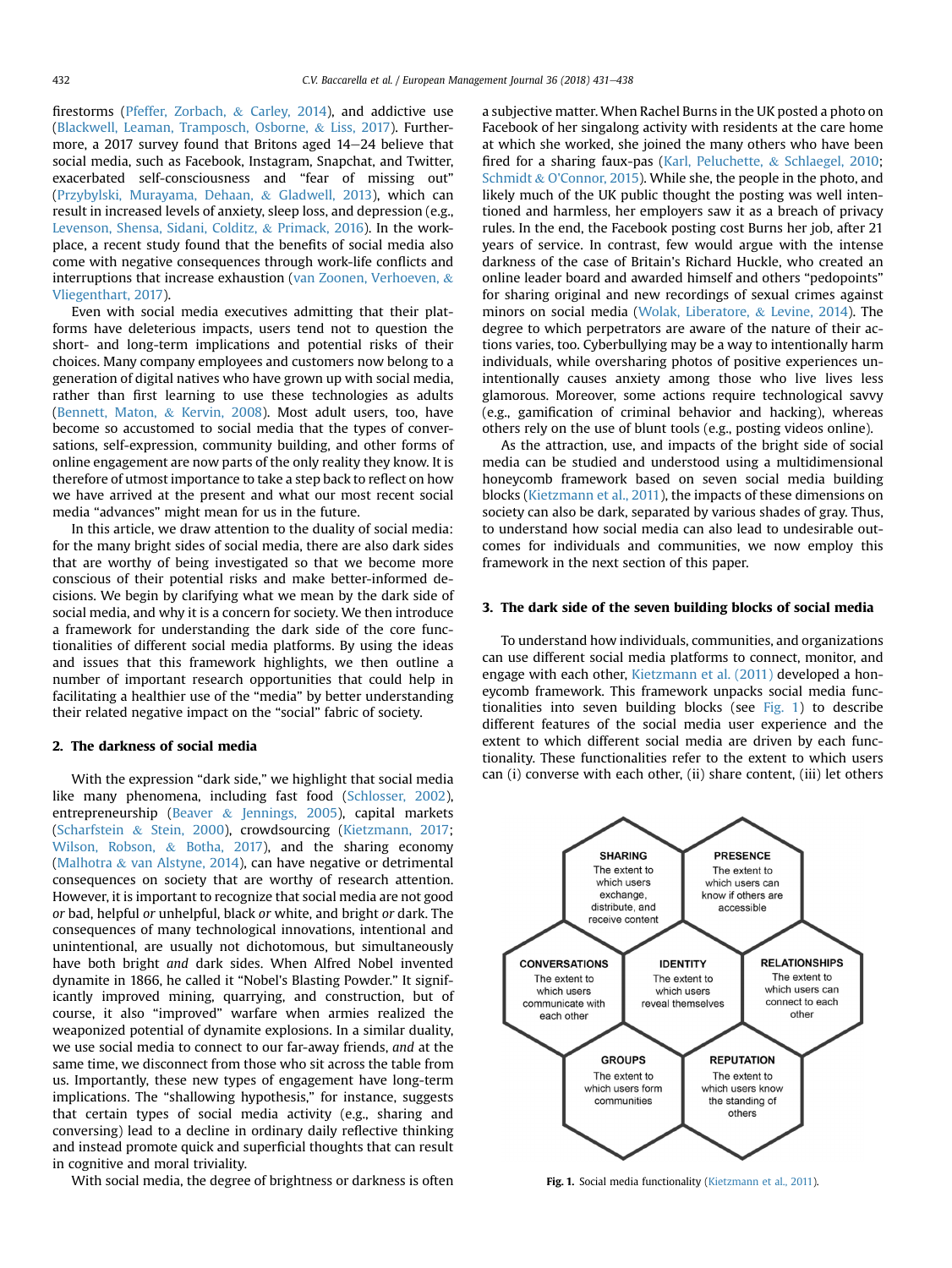firestorms ([Pfeffer, Zorbach,](#page-7-0) & [Carley, 2014](#page-7-0)), and addictive use ([Blackwell, Leaman, Tramposch, Osborne,](#page-6-0) & [Liss, 2017](#page-6-0)). Furthermore, a 2017 survey found that Britons aged  $14-24$  believe that social media, such as Facebook, Instagram, Snapchat, and Twitter, exacerbated self-consciousness and "fear of missing out" ([Przybylski, Murayama, Dehaan,](#page-7-0) & [Gladwell, 2013\)](#page-7-0), which can result in increased levels of anxiety, sleep loss, and depression (e.g., [Levenson, Shensa, Sidani, Colditz,](#page-7-0) & [Primack, 2016\)](#page-7-0). In the workplace, a recent study found that the benefits of social media also come with negative consequences through work-life conflicts and interruptions that increase exhaustion ([van Zoonen, Verhoeven,](#page-7-0) & [Vliegenthart, 2017](#page-7-0)).

Even with social media executives admitting that their platforms have deleterious impacts, users tend not to question the short- and long-term implications and potential risks of their choices. Many company employees and customers now belong to a generation of digital natives who have grown up with social media, rather than first learning to use these technologies as adults ([Bennett, Maton,](#page-6-0) & [Kervin, 2008](#page-6-0)). Most adult users, too, have become so accustomed to social media that the types of conversations, self-expression, community building, and other forms of online engagement are now parts of the only reality they know. It is therefore of utmost importance to take a step back to reflect on how we have arrived at the present and what our most recent social media "advances" might mean for us in the future.

In this article, we draw attention to the duality of social media: for the many bright sides of social media, there are also dark sides that are worthy of being investigated so that we become more conscious of their potential risks and make better-informed decisions. We begin by clarifying what we mean by the dark side of social media, and why it is a concern for society. We then introduce a framework for understanding the dark side of the core functionalities of different social media platforms. By using the ideas and issues that this framework highlights, we then outline a number of important research opportunities that could help in facilitating a healthier use of the "media" by better understanding their related negative impact on the "social" fabric of society.

#### 2. The darkness of social media

With the expression "dark side," we highlight that social media like many phenomena, including fast food [\(Schlosser, 2002\)](#page-7-0), entrepreneurship ([Beaver](#page-6-0) & [Jennings, 2005](#page-6-0)), capital markets ([Scharfstein](#page-7-0) & [Stein, 2000](#page-7-0)), crowdsourcing ([Kietzmann, 2017](#page-7-0); [Wilson, Robson,](#page-7-0) & [Botha, 2017\)](#page-7-0), and the sharing economy ([Malhotra](#page-7-0) & [van Alstyne, 2014\)](#page-7-0), can have negative or detrimental consequences on society that are worthy of research attention. However, it is important to recognize that social media are not good or bad, helpful or unhelpful, black or white, and bright or dark. The consequences of many technological innovations, intentional and unintentional, are usually not dichotomous, but simultaneously have both bright and dark sides. When Alfred Nobel invented dynamite in 1866, he called it "Nobel's Blasting Powder." It significantly improved mining, quarrying, and construction, but of course, it also "improved" warfare when armies realized the weaponized potential of dynamite explosions. In a similar duality, we use social media to connect to our far-away friends, and at the same time, we disconnect from those who sit across the table from us. Importantly, these new types of engagement have long-term implications. The "shallowing hypothesis," for instance, suggests that certain types of social media activity (e.g., sharing and conversing) lead to a decline in ordinary daily reflective thinking and instead promote quick and superficial thoughts that can result in cognitive and moral triviality.

With social media, the degree of brightness or darkness is often

a subjective matter. When Rachel Burns in the UK posted a photo on Facebook of her singalong activity with residents at the care home at which she worked, she joined the many others who have been fired for a sharing faux-pas [\(Karl, Peluchette,](#page-7-0) & [Schlaegel, 2010](#page-7-0); [Schmidt](#page-7-0) & [O'Connor, 2015\)](#page-7-0). While she, the people in the photo, and likely much of the UK public thought the posting was well intentioned and harmless, her employers saw it as a breach of privacy rules. In the end, the Facebook posting cost Burns her job, after 21 years of service. In contrast, few would argue with the intense darkness of the case of Britain's Richard Huckle, who created an online leader board and awarded himself and others "pedopoints" for sharing original and new recordings of sexual crimes against minors on social media ([Wolak, Liberatore,](#page-7-0) & [Levine, 2014\)](#page-7-0). The degree to which perpetrators are aware of the nature of their actions varies, too. Cyberbullying may be a way to intentionally harm individuals, while oversharing photos of positive experiences unintentionally causes anxiety among those who live lives less glamorous. Moreover, some actions require technological savvy (e.g., gamification of criminal behavior and hacking), whereas others rely on the use of blunt tools (e.g., posting videos online).

As the attraction, use, and impacts of the bright side of social media can be studied and understood using a multidimensional honeycomb framework based on seven social media building blocks ([Kietzmann et al., 2011](#page-7-0)), the impacts of these dimensions on society can also be dark, separated by various shades of gray. Thus, to understand how social media can also lead to undesirable outcomes for individuals and communities, we now employ this framework in the next section of this paper.

#### 3. The dark side of the seven building blocks of social media

To understand how individuals, communities, and organizations can use different social media platforms to connect, monitor, and engage with each other, [Kietzmann et al. \(2011\)](#page-7-0) developed a honeycomb framework. This framework unpacks social media functionalities into seven building blocks (see Fig. 1) to describe different features of the social media user experience and the extent to which different social media are driven by each functionality. These functionalities refer to the extent to which users can (i) converse with each other, (ii) share content, (iii) let others



Fig. 1. Social media functionality [\(Kietzmann et al., 2011\)](#page-7-0).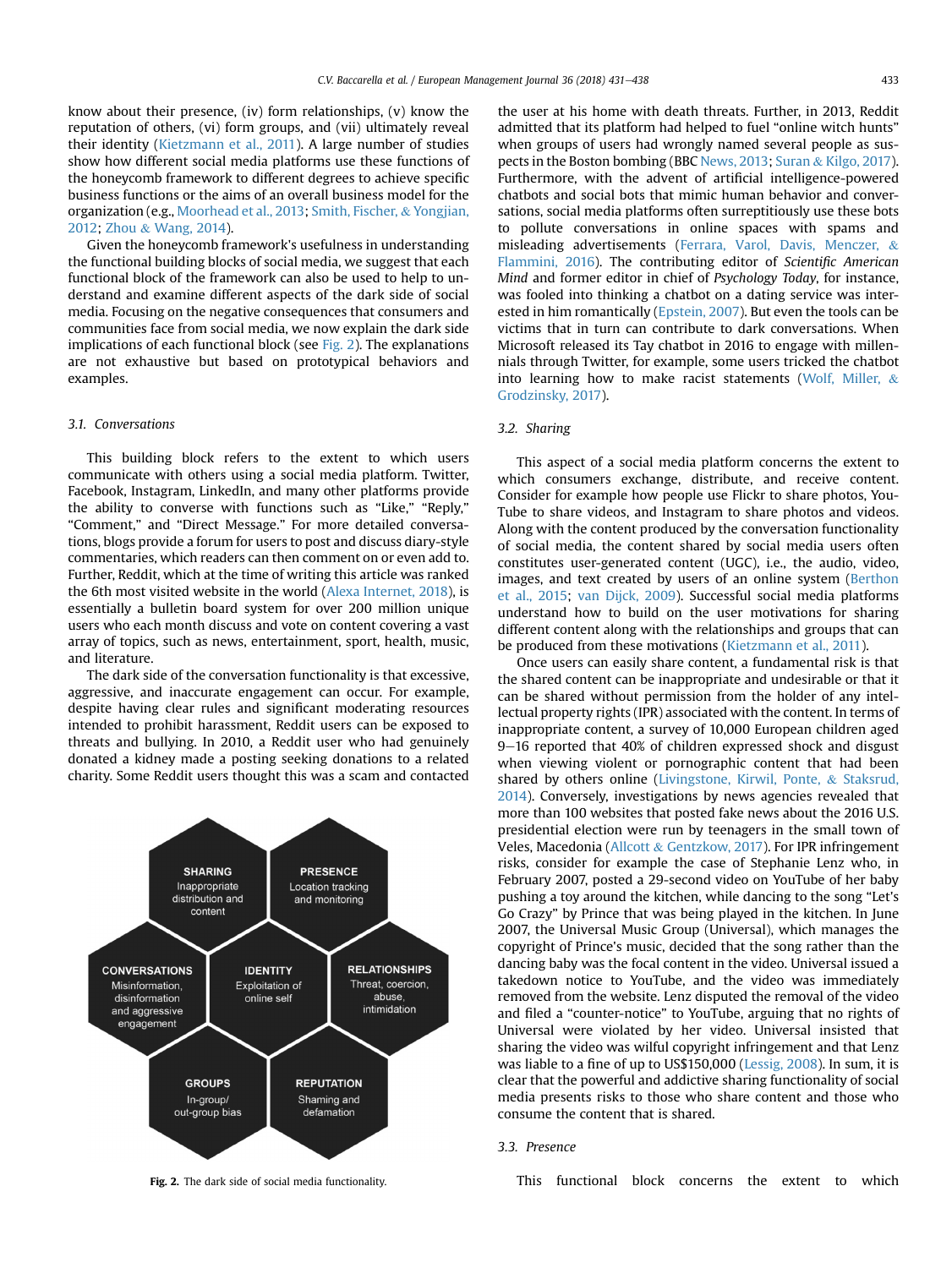know about their presence, (iv) form relationships,  $(v)$  know the reputation of others, (vi) form groups, and (vii) ultimately reveal their identity [\(Kietzmann et al., 2011](#page-7-0)). A large number of studies show how different social media platforms use these functions of the honeycomb framework to different degrees to achieve specific business functions or the aims of an overall business model for the organization (e.g., [Moorhead et al., 2013;](#page-7-0) [Smith, Fischer,](#page-7-0) & [Yongjian,](#page-7-0) [2012;](#page-7-0) [Zhou](#page-7-0) & [Wang, 2014](#page-7-0)).

Given the honeycomb framework's usefulness in understanding the functional building blocks of social media, we suggest that each functional block of the framework can also be used to help to understand and examine different aspects of the dark side of social media. Focusing on the negative consequences that consumers and communities face from social media, we now explain the dark side implications of each functional block (see Fig. 2). The explanations are not exhaustive but based on prototypical behaviors and examples.

#### 3.1. Conversations

This building block refers to the extent to which users communicate with others using a social media platform. Twitter, Facebook, Instagram, LinkedIn, and many other platforms provide the ability to converse with functions such as "Like," "Reply," "Comment," and "Direct Message." For more detailed conversations, blogs provide a forum for users to post and discuss diary-style commentaries, which readers can then comment on or even add to. Further, Reddit, which at the time of writing this article was ranked the 6th most visited website in the world [\(Alexa Internet, 2018](#page-6-0)), is essentially a bulletin board system for over 200 million unique users who each month discuss and vote on content covering a vast array of topics, such as news, entertainment, sport, health, music, and literature.

The dark side of the conversation functionality is that excessive, aggressive, and inaccurate engagement can occur. For example, despite having clear rules and significant moderating resources intended to prohibit harassment, Reddit users can be exposed to threats and bullying. In 2010, a Reddit user who had genuinely donated a kidney made a posting seeking donations to a related charity. Some Reddit users thought this was a scam and contacted



the user at his home with death threats. Further, in 2013, Reddit admitted that its platform had helped to fuel "online witch hunts" when groups of users had wrongly named several people as suspects in the Boston bombing (BBC [News, 2013;](#page-7-0) [Suran](#page-7-0) & [Kilgo, 2017\)](#page-7-0). Furthermore, with the advent of artificial intelligence-powered chatbots and social bots that mimic human behavior and conversations, social media platforms often surreptitiously use these bots to pollute conversations in online spaces with spams and misleading advertisements ([Ferrara, Varol, Davis, Menczer,](#page-6-0) & [Flammini, 2016](#page-6-0)). The contributing editor of Scientific American Mind and former editor in chief of Psychology Today, for instance, was fooled into thinking a chatbot on a dating service was interested in him romantically [\(Epstein, 2007\)](#page-6-0). But even the tools can be victims that in turn can contribute to dark conversations. When Microsoft released its Tay chatbot in 2016 to engage with millennials through Twitter, for example, some users tricked the chatbot into learning how to make racist statements [\(Wolf, Miller,](#page-7-0) & [Grodzinsky, 2017](#page-7-0)).

## 3.2. Sharing

This aspect of a social media platform concerns the extent to which consumers exchange, distribute, and receive content. Consider for example how people use Flickr to share photos, You-Tube to share videos, and Instagram to share photos and videos. Along with the content produced by the conversation functionality of social media, the content shared by social media users often constitutes user-generated content (UGC), i.e., the audio, video, images, and text created by users of an online system [\(Berthon](#page-6-0) [et al., 2015](#page-6-0); [van Dijck, 2009\)](#page-6-0). Successful social media platforms understand how to build on the user motivations for sharing different content along with the relationships and groups that can be produced from these motivations ([Kietzmann et al., 2011](#page-7-0)).

Once users can easily share content, a fundamental risk is that the shared content can be inappropriate and undesirable or that it can be shared without permission from the holder of any intellectual property rights (IPR) associated with the content. In terms of inappropriate content, a survey of 10,000 European children aged 9–16 reported that 40% of children expressed shock and disgust when viewing violent or pornographic content that had been shared by others online [\(Livingstone, Kirwil, Ponte,](#page-7-0) & [Staksrud,](#page-7-0) [2014\)](#page-7-0). Conversely, investigations by news agencies revealed that more than 100 websites that posted fake news about the 2016 U.S. presidential election were run by teenagers in the small town of Veles, Macedonia [\(Allcott](#page-6-0) & [Gentzkow, 2017](#page-6-0)). For IPR infringement risks, consider for example the case of Stephanie Lenz who, in February 2007, posted a 29-second video on YouTube of her baby pushing a toy around the kitchen, while dancing to the song "Let's Go Crazy" by Prince that was being played in the kitchen. In June 2007, the Universal Music Group (Universal), which manages the copyright of Prince's music, decided that the song rather than the dancing baby was the focal content in the video. Universal issued a takedown notice to YouTube, and the video was immediately removed from the website. Lenz disputed the removal of the video and filed a "counter-notice" to YouTube, arguing that no rights of Universal were violated by her video. Universal insisted that sharing the video was wilful copyright infringement and that Lenz was liable to a fine of up to US\$150,000 ([Lessig, 2008\)](#page-7-0). In sum, it is clear that the powerful and addictive sharing functionality of social media presents risks to those who share content and those who consume the content that is shared.

## 3.3. Presence

Fig. 2. The dark side of social media functionality. This functional block concerns the extent to which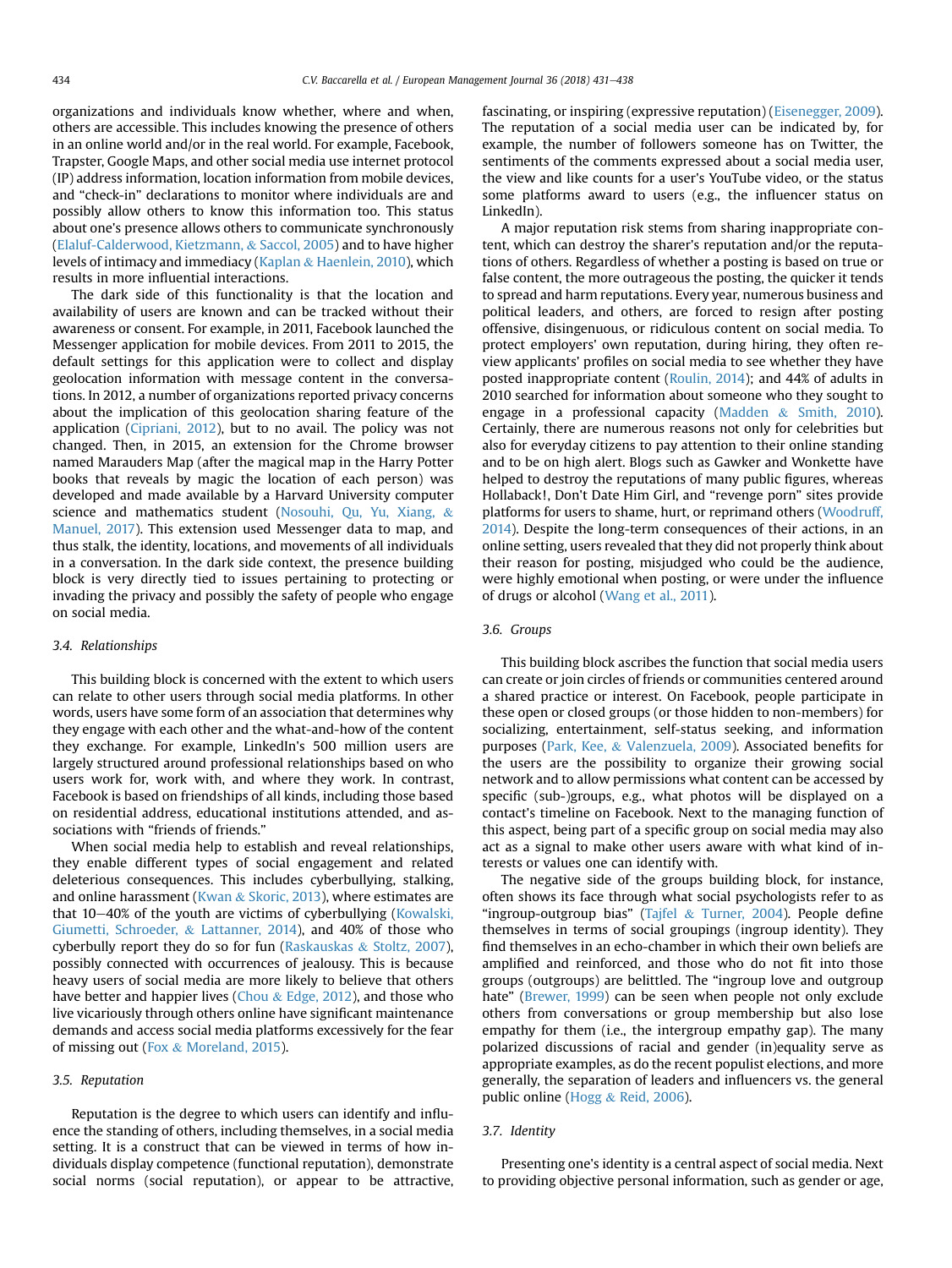organizations and individuals know whether, where and when, others are accessible. This includes knowing the presence of others in an online world and/or in the real world. For example, Facebook, Trapster, Google Maps, and other social media use internet protocol (IP) address information, location information from mobile devices, and "check-in" declarations to monitor where individuals are and possibly allow others to know this information too. This status about one's presence allows others to communicate synchronously ([Elaluf-Calderwood, Kietzmann,](#page-6-0) & [Saccol, 2005](#page-6-0)) and to have higher levels of intimacy and immediacy [\(Kaplan](#page-7-0) & [Haenlein, 2010\)](#page-7-0), which results in more influential interactions.

The dark side of this functionality is that the location and availability of users are known and can be tracked without their awareness or consent. For example, in 2011, Facebook launched the Messenger application for mobile devices. From 2011 to 2015, the default settings for this application were to collect and display geolocation information with message content in the conversations. In 2012, a number of organizations reported privacy concerns about the implication of this geolocation sharing feature of the application ([Cipriani, 2012](#page-6-0)), but to no avail. The policy was not changed. Then, in 2015, an extension for the Chrome browser named Marauders Map (after the magical map in the Harry Potter books that reveals by magic the location of each person) was developed and made available by a Harvard University computer science and mathematics student ([Nosouhi, Qu, Yu, Xiang,](#page-7-0) & [Manuel, 2017\)](#page-7-0). This extension used Messenger data to map, and thus stalk, the identity, locations, and movements of all individuals in a conversation. In the dark side context, the presence building block is very directly tied to issues pertaining to protecting or invading the privacy and possibly the safety of people who engage on social media.

### 3.4. Relationships

This building block is concerned with the extent to which users can relate to other users through social media platforms. In other words, users have some form of an association that determines why they engage with each other and the what-and-how of the content they exchange. For example, LinkedIn's 500 million users are largely structured around professional relationships based on who users work for, work with, and where they work. In contrast, Facebook is based on friendships of all kinds, including those based on residential address, educational institutions attended, and associations with "friends of friends."

When social media help to establish and reveal relationships, they enable different types of social engagement and related deleterious consequences. This includes cyberbullying, stalking, and online harassment ([Kwan](#page-7-0)  $&$  [Skoric, 2013](#page-7-0)), where estimates are that 10-40% of the youth are victims of cyberbullying [\(Kowalski,](#page-7-0) [Giumetti, Schroeder,](#page-7-0) & [Lattanner, 2014\)](#page-7-0), and 40% of those who cyberbully report they do so for fun [\(Raskauskas](#page-7-0) & [Stoltz, 2007\)](#page-7-0), possibly connected with occurrences of jealousy. This is because heavy users of social media are more likely to believe that others have better and happier lives ([Chou](#page-6-0) & [Edge, 2012](#page-6-0)), and those who live vicariously through others online have significant maintenance demands and access social media platforms excessively for the fear of missing out [\(Fox](#page-6-0) & [Moreland, 2015\)](#page-6-0).

#### 3.5. Reputation

Reputation is the degree to which users can identify and influence the standing of others, including themselves, in a social media setting. It is a construct that can be viewed in terms of how individuals display competence (functional reputation), demonstrate social norms (social reputation), or appear to be attractive,

fascinating, or inspiring (expressive reputation) [\(Eisenegger, 2009\)](#page-6-0). The reputation of a social media user can be indicated by, for example, the number of followers someone has on Twitter, the sentiments of the comments expressed about a social media user, the view and like counts for a user's YouTube video, or the status some platforms award to users (e.g., the influencer status on LinkedIn).

A major reputation risk stems from sharing inappropriate content, which can destroy the sharer's reputation and/or the reputations of others. Regardless of whether a posting is based on true or false content, the more outrageous the posting, the quicker it tends to spread and harm reputations. Every year, numerous business and political leaders, and others, are forced to resign after posting offensive, disingenuous, or ridiculous content on social media. To protect employers' own reputation, during hiring, they often review applicants' profiles on social media to see whether they have posted inappropriate content ([Roulin, 2014](#page-7-0)); and 44% of adults in 2010 searched for information about someone who they sought to engage in a professional capacity [\(Madden](#page-7-0) & [Smith, 2010\)](#page-7-0). Certainly, there are numerous reasons not only for celebrities but also for everyday citizens to pay attention to their online standing and to be on high alert. Blogs such as Gawker and Wonkette have helped to destroy the reputations of many public figures, whereas Hollaback!, Don't Date Him Girl, and "revenge porn" sites provide platforms for users to shame, hurt, or reprimand others ([Woodruff,](#page-7-0) [2014\)](#page-7-0). Despite the long-term consequences of their actions, in an online setting, users revealed that they did not properly think about their reason for posting, misjudged who could be the audience, were highly emotional when posting, or were under the influence of drugs or alcohol ([Wang et al., 2011\)](#page-7-0).

## 3.6. Groups

This building block ascribes the function that social media users can create or join circles of friends or communities centered around a shared practice or interest. On Facebook, people participate in these open or closed groups (or those hidden to non-members) for socializing, entertainment, self-status seeking, and information purposes [\(Park, Kee,](#page-7-0) & [Valenzuela, 2009\)](#page-7-0). Associated benefits for the users are the possibility to organize their growing social network and to allow permissions what content can be accessed by specific (sub-)groups, e.g., what photos will be displayed on a contact's timeline on Facebook. Next to the managing function of this aspect, being part of a specific group on social media may also act as a signal to make other users aware with what kind of interests or values one can identify with.

The negative side of the groups building block, for instance, often shows its face through what social psychologists refer to as "ingroup-outgroup bias" ([Tajfel](#page-7-0) & [Turner, 2004\)](#page-7-0). People define themselves in terms of social groupings (ingroup identity). They find themselves in an echo-chamber in which their own beliefs are amplified and reinforced, and those who do not fit into those groups (outgroups) are belittled. The "ingroup love and outgroup hate" [\(Brewer, 1999](#page-6-0)) can be seen when people not only exclude others from conversations or group membership but also lose empathy for them (i.e., the intergroup empathy gap). The many polarized discussions of racial and gender (in)equality serve as appropriate examples, as do the recent populist elections, and more generally, the separation of leaders and influencers vs. the general public online ([Hogg](#page-7-0) & [Reid, 2006](#page-7-0)).

## 3.7. Identity

Presenting one's identity is a central aspect of social media. Next to providing objective personal information, such as gender or age,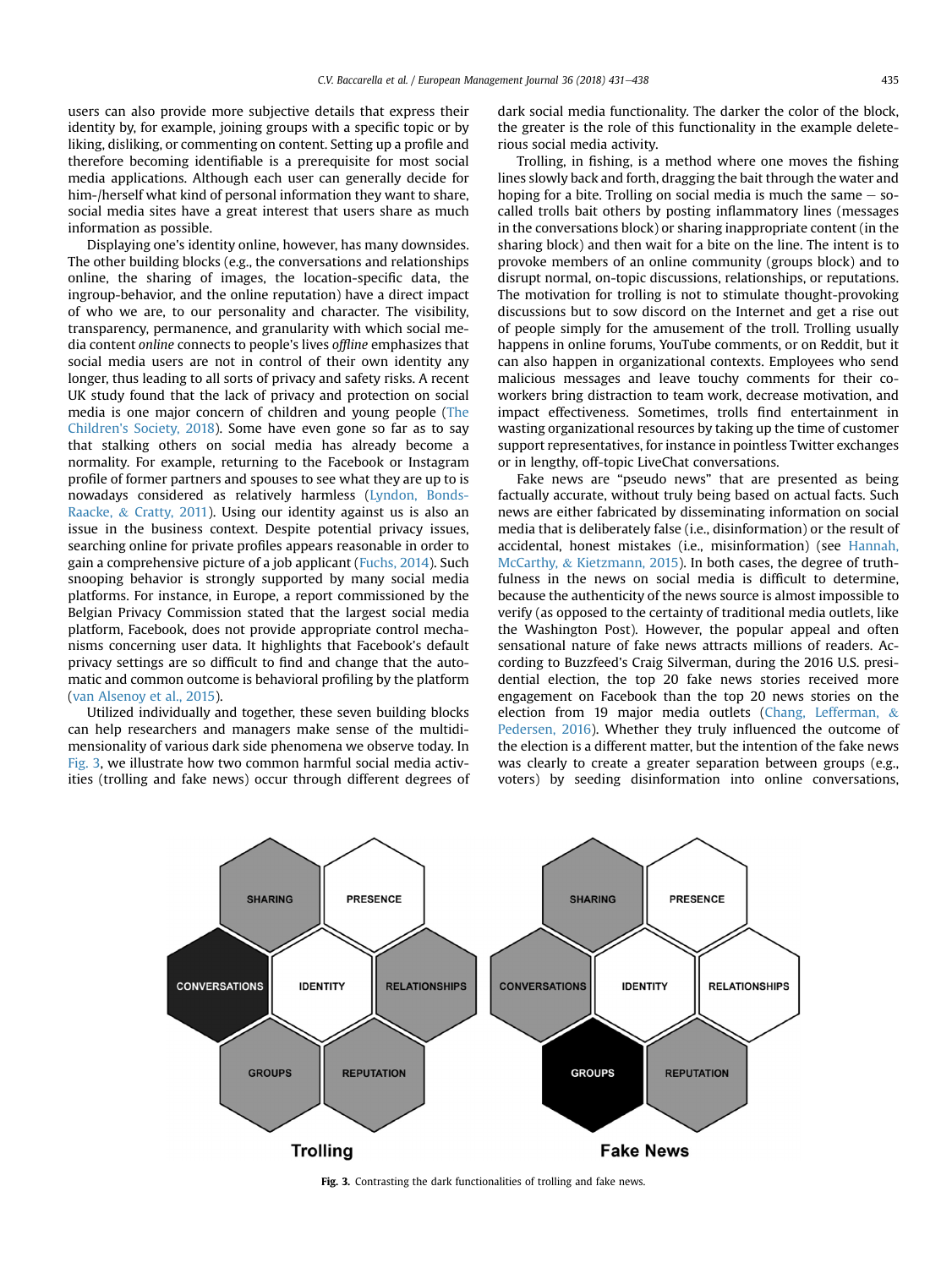users can also provide more subjective details that express their identity by, for example, joining groups with a specific topic or by liking, disliking, or commenting on content. Setting up a profile and therefore becoming identifiable is a prerequisite for most social media applications. Although each user can generally decide for him-/herself what kind of personal information they want to share, social media sites have a great interest that users share as much information as possible.

Displaying one's identity online, however, has many downsides. The other building blocks (e.g., the conversations and relationships online, the sharing of images, the location-specific data, the ingroup-behavior, and the online reputation) have a direct impact of who we are, to our personality and character. The visibility, transparency, permanence, and granularity with which social media content online connects to people's lives offline emphasizes that social media users are not in control of their own identity any longer, thus leading to all sorts of privacy and safety risks. A recent UK study found that the lack of privacy and protection on social media is one major concern of children and young people ([The](#page-7-0) [Children's Society, 2018](#page-7-0)). Some have even gone so far as to say that stalking others on social media has already become a normality. For example, returning to the Facebook or Instagram profile of former partners and spouses to see what they are up to is nowadays considered as relatively harmless [\(Lyndon, Bonds-](#page-7-0)[Raacke,](#page-7-0) & [Cratty, 2011](#page-7-0)). Using our identity against us is also an issue in the business context. Despite potential privacy issues, searching online for private profiles appears reasonable in order to gain a comprehensive picture of a job applicant ([Fuchs, 2014](#page-6-0)). Such snooping behavior is strongly supported by many social media platforms. For instance, in Europe, a report commissioned by the Belgian Privacy Commission stated that the largest social media platform, Facebook, does not provide appropriate control mechanisms concerning user data. It highlights that Facebook's default privacy settings are so difficult to find and change that the automatic and common outcome is behavioral profiling by the platform ([van Alsenoy et al., 2015\)](#page-6-0).

Utilized individually and together, these seven building blocks can help researchers and managers make sense of the multidimensionality of various dark side phenomena we observe today. In Fig. 3, we illustrate how two common harmful social media activities (trolling and fake news) occur through different degrees of dark social media functionality. The darker the color of the block, the greater is the role of this functionality in the example deleterious social media activity.

Trolling, in fishing, is a method where one moves the fishing lines slowly back and forth, dragging the bait through the water and hoping for a bite. Trolling on social media is much the same  $-$  socalled trolls bait others by posting inflammatory lines (messages in the conversations block) or sharing inappropriate content (in the sharing block) and then wait for a bite on the line. The intent is to provoke members of an online community (groups block) and to disrupt normal, on-topic discussions, relationships, or reputations. The motivation for trolling is not to stimulate thought-provoking discussions but to sow discord on the Internet and get a rise out of people simply for the amusement of the troll. Trolling usually happens in online forums, YouTube comments, or on Reddit, but it can also happen in organizational contexts. Employees who send malicious messages and leave touchy comments for their coworkers bring distraction to team work, decrease motivation, and impact effectiveness. Sometimes, trolls find entertainment in wasting organizational resources by taking up the time of customer support representatives, for instance in pointless Twitter exchanges or in lengthy, off-topic LiveChat conversations.

Fake news are "pseudo news" that are presented as being factually accurate, without truly being based on actual facts. Such news are either fabricated by disseminating information on social media that is deliberately false (i.e., disinformation) or the result of accidental, honest mistakes (i.e., misinformation) (see [Hannah,](#page-6-0) [McCarthy,](#page-6-0) & [Kietzmann, 2015\)](#page-6-0). In both cases, the degree of truthfulness in the news on social media is difficult to determine, because the authenticity of the news source is almost impossible to verify (as opposed to the certainty of traditional media outlets, like the Washington Post). However, the popular appeal and often sensational nature of fake news attracts millions of readers. According to Buzzfeed's Craig Silverman, during the 2016 U.S. presidential election, the top 20 fake news stories received more engagement on Facebook than the top 20 news stories on the election from 19 major media outlets ([Chang, Lefferman,](#page-6-0) & [Pedersen, 2016\)](#page-6-0). Whether they truly influenced the outcome of the election is a different matter, but the intention of the fake news was clearly to create a greater separation between groups (e.g., voters) by seeding disinformation into online conversations,



Fig. 3. Contrasting the dark functionalities of trolling and fake news.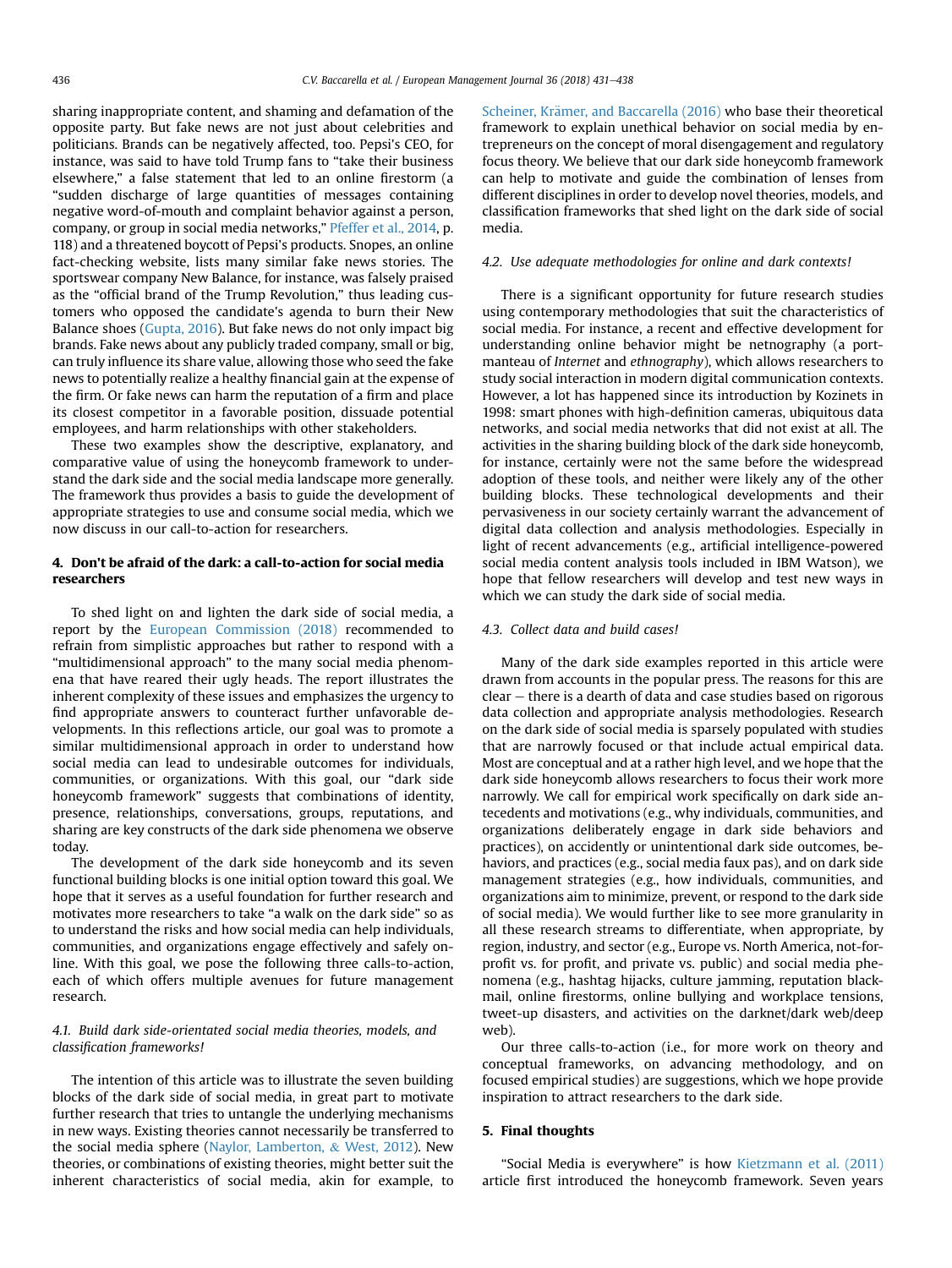sharing inappropriate content, and shaming and defamation of the opposite party. But fake news are not just about celebrities and politicians. Brands can be negatively affected, too. Pepsi's CEO, for instance, was said to have told Trump fans to "take their business elsewhere," a false statement that led to an online firestorm (a "sudden discharge of large quantities of messages containing negative word-of-mouth and complaint behavior against a person, company, or group in social media networks," [Pfeffer et al., 2014](#page-7-0), p. 118) and a threatened boycott of Pepsi's products. Snopes, an online fact-checking website, lists many similar fake news stories. The sportswear company New Balance, for instance, was falsely praised as the "official brand of the Trump Revolution," thus leading customers who opposed the candidate's agenda to burn their New Balance shoes ([Gupta, 2016\)](#page-6-0). But fake news do not only impact big brands. Fake news about any publicly traded company, small or big, can truly influence its share value, allowing those who seed the fake news to potentially realize a healthy financial gain at the expense of the firm. Or fake news can harm the reputation of a firm and place its closest competitor in a favorable position, dissuade potential employees, and harm relationships with other stakeholders.

These two examples show the descriptive, explanatory, and comparative value of using the honeycomb framework to understand the dark side and the social media landscape more generally. The framework thus provides a basis to guide the development of appropriate strategies to use and consume social media, which we now discuss in our call-to-action for researchers.

# 4. Don't be afraid of the dark: a call-to-action for social media researchers

To shed light on and lighten the dark side of social media, a report by the [European Commission \(2018\)](#page-6-0) recommended to refrain from simplistic approaches but rather to respond with a "multidimensional approach" to the many social media phenomena that have reared their ugly heads. The report illustrates the inherent complexity of these issues and emphasizes the urgency to find appropriate answers to counteract further unfavorable developments. In this reflections article, our goal was to promote a similar multidimensional approach in order to understand how social media can lead to undesirable outcomes for individuals, communities, or organizations. With this goal, our "dark side honeycomb framework" suggests that combinations of identity, presence, relationships, conversations, groups, reputations, and sharing are key constructs of the dark side phenomena we observe today.

The development of the dark side honeycomb and its seven functional building blocks is one initial option toward this goal. We hope that it serves as a useful foundation for further research and motivates more researchers to take "a walk on the dark side" so as to understand the risks and how social media can help individuals, communities, and organizations engage effectively and safely online. With this goal, we pose the following three calls-to-action, each of which offers multiple avenues for future management research.

## 4.1. Build dark side-orientated social media theories, models, and classification frameworks!

The intention of this article was to illustrate the seven building blocks of the dark side of social media, in great part to motivate further research that tries to untangle the underlying mechanisms in new ways. Existing theories cannot necessarily be transferred to the social media sphere ([Naylor, Lamberton,](#page-7-0) & [West, 2012\)](#page-7-0). New theories, or combinations of existing theories, might better suit the inherent characteristics of social media, akin for example, to [Scheiner, Kr](#page-7-0)ämer, and Baccarella (2016) who base their theoretical framework to explain unethical behavior on social media by entrepreneurs on the concept of moral disengagement and regulatory focus theory. We believe that our dark side honeycomb framework can help to motivate and guide the combination of lenses from different disciplines in order to develop novel theories, models, and classification frameworks that shed light on the dark side of social media.

## 4.2. Use adequate methodologies for online and dark contexts!

There is a significant opportunity for future research studies using contemporary methodologies that suit the characteristics of social media. For instance, a recent and effective development for understanding online behavior might be netnography (a portmanteau of Internet and ethnography), which allows researchers to study social interaction in modern digital communication contexts. However, a lot has happened since its introduction by Kozinets in 1998: smart phones with high-definition cameras, ubiquitous data networks, and social media networks that did not exist at all. The activities in the sharing building block of the dark side honeycomb, for instance, certainly were not the same before the widespread adoption of these tools, and neither were likely any of the other building blocks. These technological developments and their pervasiveness in our society certainly warrant the advancement of digital data collection and analysis methodologies. Especially in light of recent advancements (e.g., artificial intelligence-powered social media content analysis tools included in IBM Watson), we hope that fellow researchers will develop and test new ways in which we can study the dark side of social media.

### 4.3. Collect data and build cases!

Many of the dark side examples reported in this article were drawn from accounts in the popular press. The reasons for this are  $clear$  – there is a dearth of data and case studies based on rigorous data collection and appropriate analysis methodologies. Research on the dark side of social media is sparsely populated with studies that are narrowly focused or that include actual empirical data. Most are conceptual and at a rather high level, and we hope that the dark side honeycomb allows researchers to focus their work more narrowly. We call for empirical work specifically on dark side antecedents and motivations (e.g., why individuals, communities, and organizations deliberately engage in dark side behaviors and practices), on accidently or unintentional dark side outcomes, behaviors, and practices (e.g., social media faux pas), and on dark side management strategies (e.g., how individuals, communities, and organizations aim to minimize, prevent, or respond to the dark side of social media). We would further like to see more granularity in all these research streams to differentiate, when appropriate, by region, industry, and sector (e.g., Europe vs. North America, not-forprofit vs. for profit, and private vs. public) and social media phenomena (e.g., hashtag hijacks, culture jamming, reputation blackmail, online firestorms, online bullying and workplace tensions, tweet-up disasters, and activities on the darknet/dark web/deep web).

Our three calls-to-action (i.e., for more work on theory and conceptual frameworks, on advancing methodology, and on focused empirical studies) are suggestions, which we hope provide inspiration to attract researchers to the dark side.

## 5. Final thoughts

"Social Media is everywhere" is how [Kietzmann et al. \(2011\)](#page-7-0) article first introduced the honeycomb framework. Seven years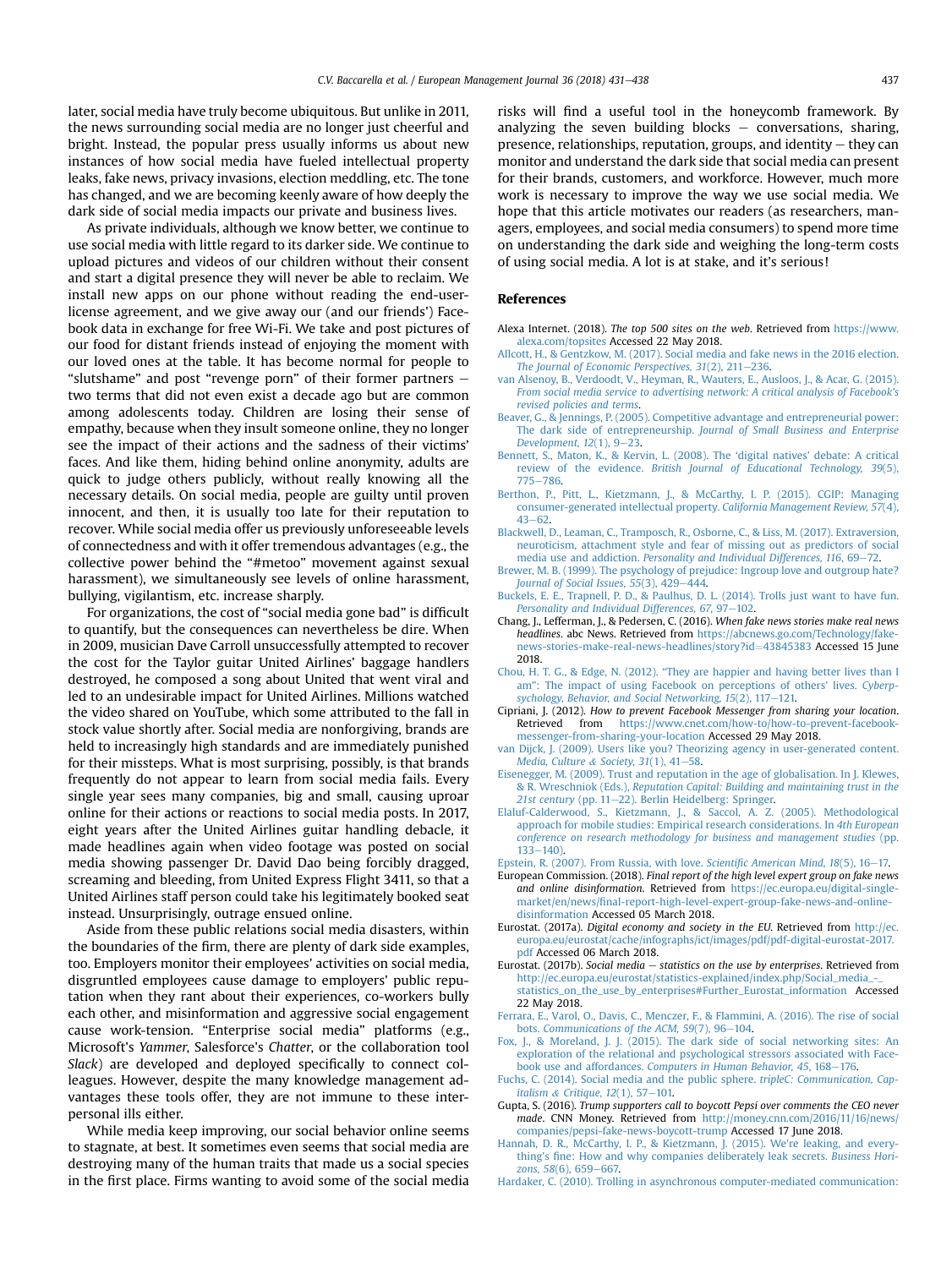<span id="page-6-0"></span>later, social media have truly become ubiquitous. But unlike in 2011, the news surrounding social media are no longer just cheerful and bright. Instead, the popular press usually informs us about new instances of how social media have fueled intellectual property leaks, fake news, privacy invasions, election meddling, etc. The tone has changed, and we are becoming keenly aware of how deeply the dark side of social media impacts our private and business lives.

As private individuals, although we know better, we continue to use social media with little regard to its darker side. We continue to upload pictures and videos of our children without their consent and start a digital presence they will never be able to reclaim. We install new apps on our phone without reading the end-userlicense agreement, and we give away our (and our friends') Facebook data in exchange for free Wi-Fi. We take and post pictures of our food for distant friends instead of enjoying the moment with our loved ones at the table. It has become normal for people to "slutshame" and post "revenge porn" of their former partners  $$ two terms that did not even exist a decade ago but are common among adolescents today. Children are losing their sense of empathy, because when they insult someone online, they no longer see the impact of their actions and the sadness of their victims' faces. And like them, hiding behind online anonymity, adults are quick to judge others publicly, without really knowing all the necessary details. On social media, people are guilty until proven innocent, and then, it is usually too late for their reputation to recover. While social media offer us previously unforeseeable levels of connectedness and with it offer tremendous advantages (e.g., the collective power behind the "#metoo" movement against sexual harassment), we simultaneously see levels of online harassment, bullying, vigilantism, etc. increase sharply.

For organizations, the cost of "social media gone bad" is difficult to quantify, but the consequences can nevertheless be dire. When in 2009, musician Dave Carroll unsuccessfully attempted to recover the cost for the Taylor guitar United Airlines' baggage handlers destroyed, he composed a song about United that went viral and led to an undesirable impact for United Airlines. Millions watched the video shared on YouTube, which some attributed to the fall in stock value shortly after. Social media are nonforgiving, brands are held to increasingly high standards and are immediately punished for their missteps. What is most surprising, possibly, is that brands frequently do not appear to learn from social media fails. Every single year sees many companies, big and small, causing uproar online for their actions or reactions to social media posts. In 2017, eight years after the United Airlines guitar handling debacle, it made headlines again when video footage was posted on social media showing passenger Dr. David Dao being forcibly dragged, screaming and bleeding, from United Express Flight 3411, so that a United Airlines staff person could take his legitimately booked seat instead. Unsurprisingly, outrage ensued online.

Aside from these public relations social media disasters, within the boundaries of the firm, there are plenty of dark side examples, too. Employers monitor their employees' activities on social media, disgruntled employees cause damage to employers' public reputation when they rant about their experiences, co-workers bully each other, and misinformation and aggressive social engagement cause work-tension. "Enterprise social media" platforms (e.g., Microsoft's Yammer, Salesforce's Chatter, or the collaboration tool Slack) are developed and deployed specifically to connect colleagues. However, despite the many knowledge management advantages these tools offer, they are not immune to these interpersonal ills either.

While media keep improving, our social behavior online seems to stagnate, at best. It sometimes even seems that social media are destroying many of the human traits that made us a social species in the first place. Firms wanting to avoid some of the social media risks will find a useful tool in the honeycomb framework. By analyzing the seven building blocks  $-$  conversations, sharing, presence, relationships, reputation, groups, and identity  $-$  they can monitor and understand the dark side that social media can present for their brands, customers, and workforce. However, much more work is necessary to improve the way we use social media. We hope that this article motivates our readers (as researchers, managers, employees, and social media consumers) to spend more time on understanding the dark side and weighing the long-term costs of using social media. A lot is at stake, and it's serious!

#### References

- Alexa Internet. (2018). The top 500 sites on the web. Retrieved from [https://www.](https://www.alexa.com/topsites) [alexa.com/topsites](https://www.alexa.com/topsites) Accessed 22 May 2018.
- [Allcott, H., & Gentzkow, M. \(2017\). Social media and fake news in the 2016 election.](http://refhub.elsevier.com/S0263-2373(18)30078-1/sref2) [The Journal of Economic Perspectives, 31](http://refhub.elsevier.com/S0263-2373(18)30078-1/sref2)(2), 211-[236](http://refhub.elsevier.com/S0263-2373(18)30078-1/sref2).
- [van Alsenoy, B., Verdoodt, V., Heyman, R., Wauters, E., Ausloos, J., & Acar, G. \(2015\).](http://refhub.elsevier.com/S0263-2373(18)30078-1/sref3) [From social media service to advertising network: A critical analysis of Facebook's](http://refhub.elsevier.com/S0263-2373(18)30078-1/sref3) [revised policies and terms](http://refhub.elsevier.com/S0263-2373(18)30078-1/sref3).
- [Beaver, G., & Jennings, P. \(2005\). Competitive advantage and entrepreneurial power:](http://refhub.elsevier.com/S0263-2373(18)30078-1/sref4) The dark side of entrepreneurship. [Journal of Small Business and Enterprise](http://refhub.elsevier.com/S0263-2373(18)30078-1/sref4) Development,  $12(1)$ ,  $9-23$ .
- [Bennett, S., Maton, K., & Kervin, L. \(2008\). The](http://refhub.elsevier.com/S0263-2373(18)30078-1/sref5) 'digital natives' debate: A critical review of the evidence. [British Journal of Educational Technology, 39](http://refhub.elsevier.com/S0263-2373(18)30078-1/sref5)(5), [775](http://refhub.elsevier.com/S0263-2373(18)30078-1/sref5)-[786.](http://refhub.elsevier.com/S0263-2373(18)30078-1/sref5)
- [Berthon, P., Pitt, L., Kietzmann, J., & McCarthy, I. P. \(2015\). CGIP: Managing](http://refhub.elsevier.com/S0263-2373(18)30078-1/sref6) [consumer-generated intellectual property.](http://refhub.elsevier.com/S0263-2373(18)30078-1/sref6) California Management Review, 57(4),  $43 - 62$  $43 - 62$
- [Blackwell, D., Leaman, C., Tramposch, R., Osborne, C., & Liss, M. \(2017\). Extraversion,](http://refhub.elsevier.com/S0263-2373(18)30078-1/sref7) [neuroticism, attachment style and fear of missing out as predictors of social](http://refhub.elsevier.com/S0263-2373(18)30078-1/sref7) media use and addiction. [Personality and Individual Differences, 116](http://refhub.elsevier.com/S0263-2373(18)30078-1/sref7), 69-[72](http://refhub.elsevier.com/S0263-2373(18)30078-1/sref7).
- [Brewer, M. B. \(1999\). The psychology of prejudice: Ingroup love and outgroup hate?](http://refhub.elsevier.com/S0263-2373(18)30078-1/sref8) Journal of Social Issues,  $55(3)$ ,  $429-444$ .
- [Buckels, E. E., Trapnell, P. D., & Paulhus, D. L. \(2014\). Trolls just want to have fun.](http://refhub.elsevier.com/S0263-2373(18)30078-1/sref9) [Personality and Individual Differences, 67](http://refhub.elsevier.com/S0263-2373(18)30078-1/sref9),  $97-102$ .
- Chang, J., Lefferman, J., & Pedersen, C. (2016). When fake news stories make real news headlines. abc News. Retrieved from [https://abcnews.go.com/Technology/fake](https://abcnews.go.com/Technology/fake-news-stories-make-real-news-headlines/story?id=43845383)[news-stories-make-real-news-headlines/story?id](https://abcnews.go.com/Technology/fake-news-stories-make-real-news-headlines/story?id=43845383)=[43845383](https://abcnews.go.com/Technology/fake-news-stories-make-real-news-headlines/story?id=43845383) Accessed 15 June 2018.
- Chou, H. T. G., & Edge, N. (2012). "[They are happier and having better lives than I](http://refhub.elsevier.com/S0263-2373(18)30078-1/sref11) am"[: The impact of using Facebook on perceptions of others' lives.](http://refhub.elsevier.com/S0263-2373(18)30078-1/sref11) Cyberpsychology, Behavior, and Social Networking,  $15(2)$ ,  $117-121$ .
- Cipriani, J. (2012). How to prevent Facebook Messenger from sharing your location. Retrieved from [https://www.cnet.com/how-to/how-to-prevent-facebook](https://www.cnet.com/how-to/how-to-prevent-facebook-messenger-from-sharing-your-location)[messenger-from-sharing-your-location](https://www.cnet.com/how-to/how-to-prevent-facebook-messenger-from-sharing-your-location) Accessed 29 May 2018.
- [van Dijck, J. \(2009\). Users like you? Theorizing agency in user-generated content.](http://refhub.elsevier.com/S0263-2373(18)30078-1/sref13) [Media, Culture](http://refhub.elsevier.com/S0263-2373(18)30078-1/sref13) & Society,  $31(1)$ ,  $41-58$  $41-58$ .
- [Eisenegger, M. \(2009\). Trust and reputation in the age of globalisation. In J. Klewes,](http://refhub.elsevier.com/S0263-2373(18)30078-1/sref14) & R. Wreschniok (Eds.), [Reputation Capital: Building and maintaining trust in the](http://refhub.elsevier.com/S0263-2373(18)30078-1/sref14) [21st century](http://refhub.elsevier.com/S0263-2373(18)30078-1/sref14) (pp. 11-[22\). Berlin Heidelberg: Springer.](http://refhub.elsevier.com/S0263-2373(18)30078-1/sref14)
- [Elaluf-Calderwood, S., Kietzmann, J., & Saccol, A. Z. \(2005\). Methodological](http://refhub.elsevier.com/S0263-2373(18)30078-1/sref15) [approach for mobile studies: Empirical research considerations. In](http://refhub.elsevier.com/S0263-2373(18)30078-1/sref15) 4th European [conference on research methodology for business and management studies](http://refhub.elsevier.com/S0263-2373(18)30078-1/sref15) (pp.  $133 - 140$  $133 - 140$

[Epstein, R. \(2007\). From Russia, with love.](http://refhub.elsevier.com/S0263-2373(18)30078-1/sref16) Scientific American Mind, 18(5),  $16-17$ .

- European Commission. (2018). Final report of the high level expert group on fake news and online disinformation. Retrieved from [https://ec.europa.eu/digital-single](https://ec.europa.eu/digital-single-market/en/news/final-report-high-level-expert-group-fake-news-and-online-disinformation)market/en/news/fi[nal-report-high-level-expert-group-fake-news-and-online](https://ec.europa.eu/digital-single-market/en/news/final-report-high-level-expert-group-fake-news-and-online-disinformation)[disinformation](https://ec.europa.eu/digital-single-market/en/news/final-report-high-level-expert-group-fake-news-and-online-disinformation) Accessed 05 March 2018.
- Eurostat. (2017a). Digital economy and society in the EU. Retrieved from [http://ec.](http://ec.europa.eu/eurostat/cache/infographs/ict/images/pdf/pdf-digital-eurostat-2017.pdf) [europa.eu/eurostat/cache/infographs/ict/images/pdf/pdf-digital-eurostat-2017.](http://ec.europa.eu/eurostat/cache/infographs/ict/images/pdf/pdf-digital-eurostat-2017.pdf) [pdf](http://ec.europa.eu/eurostat/cache/infographs/ict/images/pdf/pdf-digital-eurostat-2017.pdf) Accessed 06 March 2018.
- Eurostat. (2017b). Social media  $-$  statistics on the use by enterprises. Retrieved from http://ec.europa.eu/eurostat/statistics-explained/index.php/Social\_media\_ [statistics\\_on\\_the\\_use\\_by\\_enterprises#Further\\_Eurostat\\_information](http://ec.europa.eu/eurostat/statistics-explained/index.php/Social_media_-_statistics_on_the_use_by_enterprises#Further_Eurostat_information) Accessed 22 May 2018.
- [Ferrara, E., Varol, O., Davis, C., Menczer, F., & Flammini, A. \(2016\). The rise of social](http://refhub.elsevier.com/S0263-2373(18)30078-1/sref20) bots. Communications of the ACM,  $59(7)$ ,  $96-104$  $96-104$ .
- [Fox, J., & Moreland, J. J. \(2015\). The dark side of social networking sites: An](http://refhub.elsevier.com/S0263-2373(18)30078-1/sref21) [exploration of the relational and psychological stressors associated with Face-](http://refhub.elsevier.com/S0263-2373(18)30078-1/sref21)book use and affordances. [Computers in Human Behavior, 45](http://refhub.elsevier.com/S0263-2373(18)30078-1/sref21), 168-[176.](http://refhub.elsevier.com/S0263-2373(18)30078-1/sref21)
- [Fuchs, C. \(2014\). Social media and the public sphere.](http://refhub.elsevier.com/S0263-2373(18)30078-1/sref22) tripleC: Communication, Cap[italism](http://refhub.elsevier.com/S0263-2373(18)30078-1/sref22) & Critique,  $12(1)$ , 57-[101.](http://refhub.elsevier.com/S0263-2373(18)30078-1/sref22)
- Gupta, S. (2016). Trump supporters call to boycott Pepsi over comments the CEO never made. CNN Money. Retrieved from [http://money.cnn.com/2016/11/16/news/](http://money.cnn.com/2016/11/16/news/companies/pepsi-fake-news-boycott-trump) [companies/pepsi-fake-news-boycott-trump](http://money.cnn.com/2016/11/16/news/companies/pepsi-fake-news-boycott-trump) Accessed 17 June 2018.
- [Hannah, D. R., McCarthy, I. P., & Kietzmann, J. \(2015\). We](http://refhub.elsevier.com/S0263-2373(18)30078-1/sref24)'re leaking, and everything's fi[ne: How and why companies deliberately leak secrets.](http://refhub.elsevier.com/S0263-2373(18)30078-1/sref24) Business Hori[zons, 58](http://refhub.elsevier.com/S0263-2373(18)30078-1/sref24)(6), 659-[667.](http://refhub.elsevier.com/S0263-2373(18)30078-1/sref24)
- [Hardaker, C. \(2010\). Trolling in asynchronous computer-mediated communication:](http://refhub.elsevier.com/S0263-2373(18)30078-1/sref25)